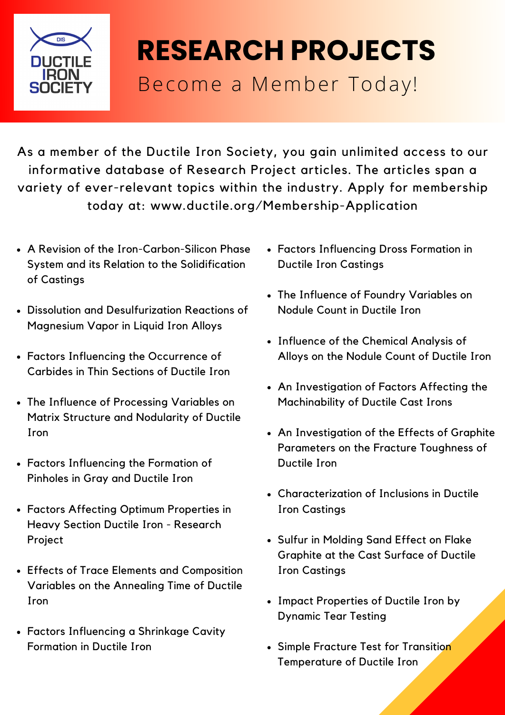

## **RESEARCH PROJECTS** Become a Member Today!

As a member of the Ductile Iron Society, you gain unlimited access to our informative database of Research Project articles. The articles span a variety of ever-relevant topics within the industry. Apply for membership today at: www.ductile.org/Membership-Application

- A Revision of the [Iron-Carbon-Silicon](https://www.ductile.org/admin/store/products/edit/258643/) Phase System and its Relation to the Solidification of Castings
- Dissolution and [Desulfurization](https://www.ductile.org/admin/store/products/edit/258642/) Reactions of Magnesium Vapor in Liquid Iron Alloys
- Factors Influencing the [Occurrence](https://www.ductile.org/admin/store/products/edit/258641/) of Carbides in Thin Sections of Ductile Iron
- The Influence of [Processing](https://www.ductile.org/admin/store/products/edit/258640/) Variables on Matrix Structure and Nodularity of Ductile Iron
- Factors [Influencing](https://www.ductile.org/admin/store/products/edit/258639/) the Formation of Pinholes in Gray and Ductile Iron
- Factors Affecting Optimum [Properties](https://www.ductile.org/admin/store/products/edit/258636/) in Heavy Section Ductile Iron - Research Project
- Effects of Trace Elements and [Composition](https://www.ductile.org/admin/store/products/edit/258635/) Variables on the Annealing Time of Ductile Iron
- Factors [Influencing](https://www.ductile.org/admin/store/products/edit/258634/) a Shrinkage Cavity Formation in Ductile Iron
- Factors [Influencing](https://www.ductile.org/admin/store/products/edit/258633/) Dross Formation in Ductile Iron Castings
- The Influence of Foundry [Variables](https://www.ductile.org/admin/store/products/edit/258632/) on Nodule Count in Ductile Iron
- [Influence](https://www.ductile.org/admin/store/products/edit/258631/) of the Chemical Analysis of Alloys on the Nodule Count of Ductile Iron
- An [Investigation](https://www.ductile.org/admin/store/products/edit/258619/) of Factors Affecting the Machinability of Ductile Cast Irons
- An [Investigation](https://www.ductile.org/admin/store/products/edit/258612/) of the Effects of Graphite Parameters on the Fracture Toughness of Ductile Iron
- [Characterization](https://www.ductile.org/admin/store/products/edit/258609/) of Inclusions in Ductile Iron Castings
- Sulfur in Molding Sand Effect on Flake [Graphite](https://www.ductile.org/admin/store/products/edit/258607/) at the Cast Surface of Ductile Iron Castings
- Impact [Properties](https://www.ductile.org/admin/store/products/edit/258606/) of Ductile Iron by Dynamic Tear Testing
- Simple Fracture Test for Transition [Temperature](https://www.ductile.org/admin/store/products/edit/258604/) of Ductile Iron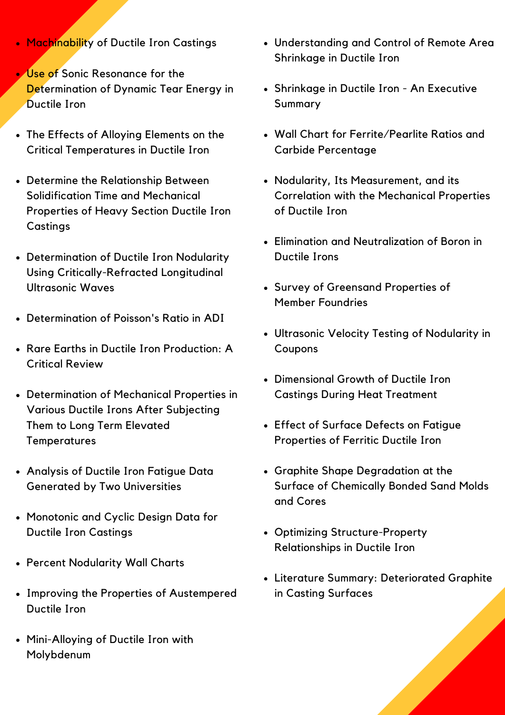- [Machinability](https://www.ductile.org/admin/store/products/edit/292556/) of Ductile Iron Castings
- Use of Sonic Resonance for the [Determination](https://www.ductile.org/admin/store/products/edit/258521/) of Dynamic Tear Energy in Ductile Iron
- The Effects of Alloying Elements on the Critical [Temperatures](https://www.ductile.org/admin/store/products/edit/258519/) in Ductile Iron
- Determine the Relationship Between [Solidification](https://www.ductile.org/admin/store/products/edit/258516/) Time and Mechanical Properties of Heavy Section Ductile Iron Castings
- Determination of Ductile Iron Nodularity Using [Critically-Refracted](https://www.ductile.org/admin/store/products/edit/258515/) Longitudinal Ultrasonic Waves
- [Determination](https://www.ductile.org/admin/store/products/edit/258514/) of Poisson's Ratio in ADI
- Rare Earths in Ductile Iron [Production:](https://www.ductile.org/admin/store/products/edit/258513/) A Critical Review
- [Determination](https://www.ductile.org/admin/store/products/edit/292558/) of Mechanical Properties in Various Ductile Irons After Subjecting Them to Long Term Elevated **Temperatures**
- Analysis of Ductile Iron Fatigue Data Generated by Two [Universities](https://www.ductile.org/admin/store/products/edit/258512/)
- [Monotonic](https://www.ductile.org/admin/store/products/edit/292559/) and Cyclic Design Data for Ductile Iron Castings
- Percent [Nodularity](https://www.ductile.org/admin/store/products/edit/292560/) Wall Charts
- Improving the Properties of [Austempered](https://www.ductile.org/admin/store/products/edit/292561/) Ductile Iron
- [Mini-Alloying](https://www.ductile.org/admin/store/products/edit/292562/) of Ductile Iron with Molybdenum
- [Understanding](https://www.ductile.org/admin/store/products/edit/292564/) and Control of Remote Area Shrinkage in Ductile Iro[n](https://www.ductile.org/admin/store/products/edit/292564/)
- [Shrinkage](https://www.ductile.org/admin/store/products/edit/292564/) in Ductile Iron An Executive Summary
- Wall Chart for [Ferrite/Pearlite](https://www.ductile.org/admin/store/products/edit/292566/) Ratios and Carbide Percentage
- Nodularity, Its [Measurement,](https://www.ductile.org/admin/store/products/edit/292647/) and its Correlation with the Mechanical Properties of Ductile Iron
- Elimination and [Neutralization](https://www.ductile.org/admin/store/products/edit/292649/) of Boron in Ductile Irons
- Survey of [Greensand](https://www.ductile.org/admin/store/products/edit/258509/) Properties of Member Foundries
- Ultrasonic Velocity Testing of [Nodularity](https://www.ductile.org/admin/store/products/edit/258508/) in Coupons
- [Dimensional](https://www.ductile.org/admin/store/products/edit/258506/) Growth of Ductile Iron Castings During Heat Treatment
- Effect of Surface Defects on Fatigue [Properties](https://www.ductile.org/admin/store/products/edit/258505/) of Ferritic Ductile Iron
- Graphite Shape [Degradation](https://www.ductile.org/admin/store/products/edit/258503/) at the Surface of Chemically Bonded Sand Molds and Cores
- Optimizing [Structure-Property](https://www.ductile.org/admin/store/products/edit/258502/) Relationships in Ductile Iron
- Literature Summary: [Deteriorated](https://www.ductile.org/admin/store/products/edit/292651/) Graphite in Casting Surfaces